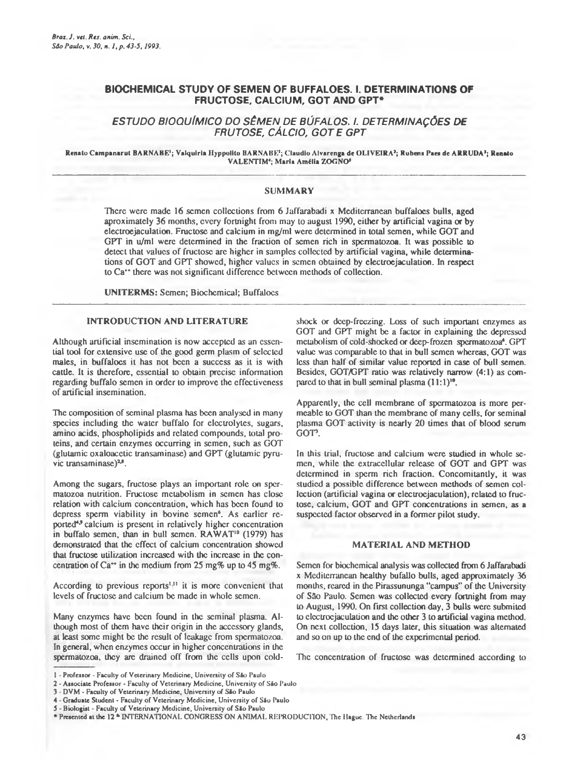## **BIOCHEMICAL STUDY OF SEMEN OF BUFFALOES. I. DETERMINATIONS OF FRUCTOSE. CALCIUM, GOT AND GPT\***

# *ESTUDO BIOQUÍMICO DO SÊMEN DE BÚFALOS. I. DETERMINAÇÕES DE FRUTOSE, CÁLCIO*, *GOT E GPT*

#### Renato Campanarut BARNABE<sup>1</sup>; Valquiria Hyppolito BARNABE<sup>1</sup>; Claudio Alvarenga de OLIVEIRA<sup>2</sup>; Rubens Paes de ARRUDA<sup>2</sup>; Renato VALENTIM\*; Maria Amélia ZOGNO\*

### SUMMARY

There were made 16 semen collections from 6 Jaffarabadi x Mediterranean buffaloes bulls, aged aproximately 36 months, every fortnight from may lo august 1990, either by artificial vagina or by electroejaculation. Fructosc and calcium in mg/ml were determined in total semen, while GOT and GPT in u/ml were determined in the fraction of semen rich in spermatozoa. It was possible to detect that values of fructose arc higher in samples collected by artificial vagina, while determinations of GOT and GPT showed, higher values in semen obtained by electroejaculation. In respect to Ca" there was not significant difference between methods of collection.

UNITERMS: Semen; Biochemical; Buffaloes

## INTRODUCTION AND LITERATURE

Although artificial insemination is now accepted as an essential tool for extensive use of the good germ plasm of sclcctcd males, in buffaloes it has not been a success as it is with cattle. It is therefore, essential to obtain precise information regarding buffalo semen in order to improve the effectiveness of artificial insemination.

The composition of seminal plasma has been analysed in many species including the water buffalo for electrolytes, sugars, amino acids, phospholipids and related compounds, total proteins, and certain enzymes occurring in semen, such as GOT (glutamic oxaloacetic transaminase) and GPT (glutamic pyruvic transaminase)<sup>2,0</sup>.

Among the sugars, fructose plays an important role on spermatozoa nutrition. Fructose metabolism in semen has close relation with calcium concentration, which has been found to depress sperm viability in bovine semen<sup>6</sup>. As earlier reported<sup>4,9</sup> calcium is present in relatively higher concentration in buffalo semen, than in bull semen. RAWAT<sup>10</sup> (1979) has demonstrated that the effect of calcium concentration showed that fructose utilization increased with the increase in the concentration of Ca<sup>\*\*</sup> in the medium from 25 mg% up to 45 mg%.

According to previous reports<sup>1,11</sup> it is more convenient that levels of fructose and calcium be made in whole semen.

Many enzymes have been found in the seminal plasma. Although most of them have their origin in the accessory glands, at least some might be the result of leakage from spermatozoa. In general, when enzymes occur in higher concentrations in the spermatozoa, they arc drained off from the cells upon cold-

shock or deep-freezing. Loss of such important enzymes as GOT and GPT might be a factor in explaining the depressed metabolism of cold-shocked or deep-frozen spermatozoa<sup>4</sup>. GPT value was comparable to that in bull semen whereas, GOT was less than half of similar value reported in case of bull semen. Besides, GOT/GPT ratio was relatively narrow (4:1) as compared to that in bull seminal plasma (11:1)'°.

Apparently, the cell membrane of spermatozoa is more permeable lo GOT than the membrane of many cells, for seminal plasma GOT activity is nearly 20 times that of blood serum GOT<sup>3</sup>.

In this trial, fructose and calcium were studied in whole semen, while ihc extracellular release of GOT and GPT was determined in sperm rich fraction. Concomitantly, it was studied a possible difference between methods of semen collection (artificial vagina or clectrocjaculation), related to fructose, calcium, GOT and GPT concentrations in semen, as a suspected factor observed in a former pilot study.

## MATERIAL AND METHOD

Semen for biochemical analysis was collccted from 6 Jaffarabadi x Mediterranean healthy bufallo bulls, aged approximately 36 months, reared in the Pirassununga "campus" of the University of S3o Paulo. Semen was collected every fortnight from may lo August, 1990. On first collection day, 3 bulls were submitcd lo clcclrocjaculaiion and the other 3 to artificial vagina method. On next collection, 15 days later, ihis situation was alternated and so on up to the end of the experimental period.

The concentration of fructose was determined according to

<sup>1 -</sup> Professor - Faculty of Veterinary Medicine, University of Sio Paulo

<sup>2 -</sup> Associate Professor - Faculty of Veterinary Medicine, University of Sio Paulo

<sup>3 -</sup> DVM - Faculty of Veterinary Medicine, University of Sio Paulo

<sup>4 -</sup> Graduate Student - Faculty of Veterinary Medicine, University of Sio Paulo

<sup>5 -</sup> Biologist - Faculty of Veterinary Medicine, University of Sio Pauto

<sup>\*</sup> Presented at the 12 ' INTERNATIONAL CONGRESS ON ANIMAL REPRODUCTION, Die Hague. The Netherlands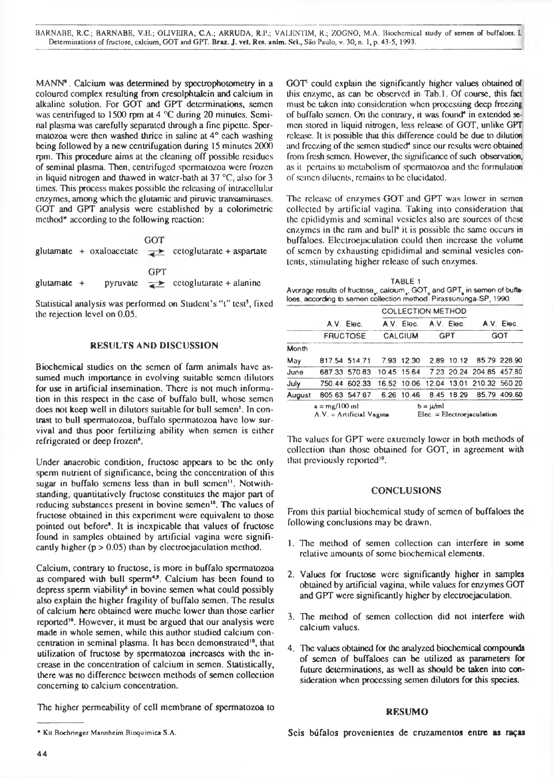BARNABE, R.C.; BARNABE, V.H.; OUVEIRA, C.A.; ARRUDA, R.P.; VAI.ENT1M, R.; ZOGNO, M.A. Biochcmical study of semen of buffaloes. I. Determinations of fructosc, calcium, GOT and GIT. Braz. J. vet. Res. anim. Sci., São Paulo, v. 30, n. 1, p. 43-5, 1993.

MANN<sup>®</sup>. Calcium was determined by spectrophotometry in a coloured complex resulting from cresolphtalein and calcium in alkaline solution. For GOT and GPT determinations, semen was centrifuged to 1500 rpm at 4 °C during 20 minutes. Seminal plasma was carefully separated through a fine pipette. Spermatozoa were then washed thrice in saline at 4° each washing being followed by a new centrifugation during 15 minutes 2000 rpm. This procedure aims at the cleaning off possible residues of seminal plasma. Then, centrifuged spermatozoa were frozen in liquid nitrogen and thawed in watcr-bath at 37 °C, also for 3 times. This process makes possible the releasing of intracellular enzymes, among which the glutamic and piruvic transaminases. GOT and GPT analysis were established by a colorimetric method\* according to the following reaction:

|               |  | GOT | glutamate + oxaloacctate $\rightarrow$ cetoglutarate + aspartate |
|---------------|--|-----|------------------------------------------------------------------|
| glutamate $+$ |  | GPT | pyruvate $\rightarrow$ cotoglutarate + alanine                   |

Statistical analysis was performed on Student's "t" test<sup>5</sup>, fixed the rejection level on 0.05.

### RESULTS AND DISCUSSION

Biochemical studies on the semen of farm animals have assumed much importance in evolving suitable semen dilutors for use in artificial insemination. There is not much information in this respect in the case of buffalo bull, whose semen does not keep well in dilutors suitable for bull semen'. In contrast to bull spermatozoa, buffalo spermatozoa have low survival and thus poor fertilizing ability when semen is either refrigerated or deep frozen<sup>6</sup>.

Under anaerobic condition, fructose appears to be the only sperm nutrient of significance, being the concentration of this sugar in buffalo semens less than in bull semen<sup>11</sup>. Notwithstanding, quantitatively fructose constitutes the major part of reducing substances present in bovine semen<sup>10</sup>. The values of fructose obtained in this experiment were equivalent to those pointed out before'. It is inexpicable that values of fructose found in samples obtained by artificial vagina were significantly higher ( $p > 0.05$ ) than by electroejaculation method.

Calcium, contrary to fructose, is more in buffalo spermatozoa as compared with bull sperm<sup>4,9</sup>. Calcium has been found to depress sperm viability<sup>6</sup> in bovine semen what could possibly also explain the higher fragility of buffalo semen. The results of calcium here obtained were muche lower than those earlier reported<sup>10</sup>. However, it must be argued that our analysis were made in whole semen, while this author studied calcium concentration in seminal plasma. It has been demonstrated<sup>10</sup>, that utilization of fructose by spermatozoa increases with the increase in the concentration of calcium in semen. Statistically, there was no difference between methods of semen collection concerning to calcium concentration.

The higher permeability of cell membrane of spermatozoa to

 $GOT<sup>1</sup>$  could explain the significantly higher values obtained of this enzyme, as can be observed in Tab.l. Of course, this fact must be taken into consideration when processing deep freezing of buffalo semen. On the contrary, it was found<sup>4</sup> in extended semen stored in liquid nitrogen, less release of GOT, unlike GPT release. It is possible that this difference could be due to dilution and freezing of the semen studied<sup>\*</sup> since our results were obtained from fresh semen. However, the significance of such observation, as it pertains to metabolism of spermatozoa and the formulation of semen diluents, remains to be elucidated.

The release of enzymes GOT and GPT was lower in semen collected by artificial vagina. Taking into consideration that the epididymis and seminal vesicles also are sources of these enzymes in the ram and bull<sup>6</sup> it is possible the same occurs in buffaloes. Electroejaculation could then increase the volume of semen by exhausting epididimal and seminal vesicles contents, stimulating higher release of such enzymes.

| TABLE 1                                                                  |  |
|--------------------------------------------------------------------------|--|
| Average results of fructose , calcium , GOT, and GPT, in semen of buffa- |  |
| loes, according to semen collection method, Pirassununga-SP, 1990.       |  |

|                                               |                 |                                                    | <b>COLLECTION METHOD</b> |                                              |            |            |                                       |            |
|-----------------------------------------------|-----------------|----------------------------------------------------|--------------------------|----------------------------------------------|------------|------------|---------------------------------------|------------|
|                                               |                 | A.V. Elec.                                         |                          | A.V. Elec.                                   |            | A.V. Elec. |                                       | A.V. Elec. |
|                                               | <b>FRUCTOSE</b> |                                                    | <b>CALCIUM</b>           |                                              | <b>GPT</b> |            | GOT                                   |            |
| Month                                         |                 |                                                    |                          |                                              |            |            |                                       |            |
| May                                           |                 | 817.54 514.71                                      |                          |                                              |            |            | 7.93 12.30 2.89 10.12 85.79 228.90    |            |
| June                                          |                 | 687.33 570 83 10.45 15.64 7 23 20.24 204.85 457.80 |                          |                                              |            |            |                                       |            |
| July                                          |                 | 750.44 602.33                                      |                          |                                              |            |            | 16.52 10.06 12.04 13.01 210.32 560.20 |            |
| August                                        |                 | 805 63 547 87                                      |                          |                                              |            |            | 6.26 10.46 8.45 18.29 85.79 409.60    |            |
| $a = mg/100$ ml<br>$A.V. = Artificial Vagina$ |                 |                                                    |                          | $b = \mu/ml$<br>$Elec. = Electroejaculation$ |            |            |                                       |            |

The values for GPT were extremely lower in both methods of collection than those obtained for GOT, in agreement with that previously reported<sup>10</sup>.

#### CONCLUSIONS

From this partial biochcmical study of semen of buffaloes the following conclusions may be drawn.

- 1. The method of semen collection can interfere in some relative amounts of some biochemical elements.
- 2. Values for fructose were significantly higher in samples obtained by artificial vagina, while values for enzymes GOT and GPT were significantly higher by electroejaculation.
- 3. The method of semen collection did not interfere with calcium values.
- 4. The values obtained for the analyzed biochcmical compounds of semen of buffaloes can be utilized as parameters for future determinations, as well as should be taken into consideration when processing semen dilutors for this species.

### **RESUMO**

Seis búfalos provenientes de cruzamentos entre **as raças**

<sup>\*</sup> Kit Boehringer Mannheim Bioquímica S.A.